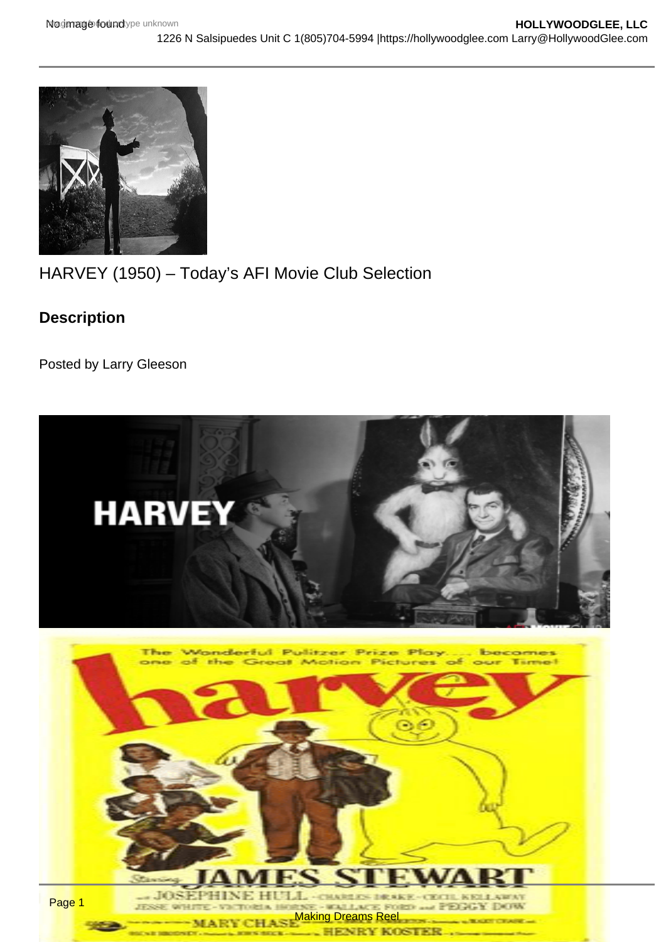## HARVEY (1950) – Today's AFI Movie Club Selection

Description

Posted by Larry Gleeson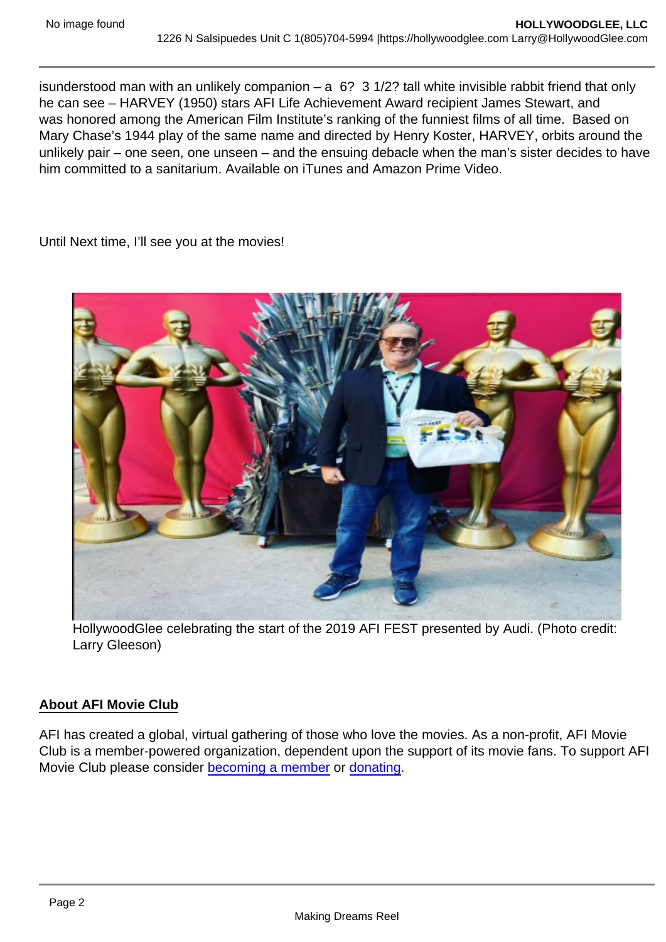isunderstood man with an unlikely companion  $-$  a  $6$ ? 3 1/2? tall white invisible rabbit friend that only he can see – HARVEY (1950) stars AFI Life Achievement Award recipient James Stewart, and was honored among the American Film Institute's ranking of the funniest films of all time. Based on Mary Chase's 1944 play of the same name and directed by Henry Koster, HARVEY, orbits around the unlikely pair – one seen, one unseen – and the ensuing debacle when the man's sister decides to have him committed to a sanitarium. Available on iTunes and Amazon Prime Video.

Until Next time, I'll see you at the movies!

HollywoodGlee celebrating the start of the 2019 AFI FEST presented by Audi. (Photo credit: Larry Gleeson)

## About AFI Movie Club

AFI has created a global, virtual gathering of those who love the movies. As a non-profit, AFI Movie Club is a member-powered organization, dependent upon the support of its movie fans. To support AFI Movie Club please consider [becoming a member](https://www.afi.com/support/?Op=join) or [donating](https://www.afi.com/support/?Op=donate).